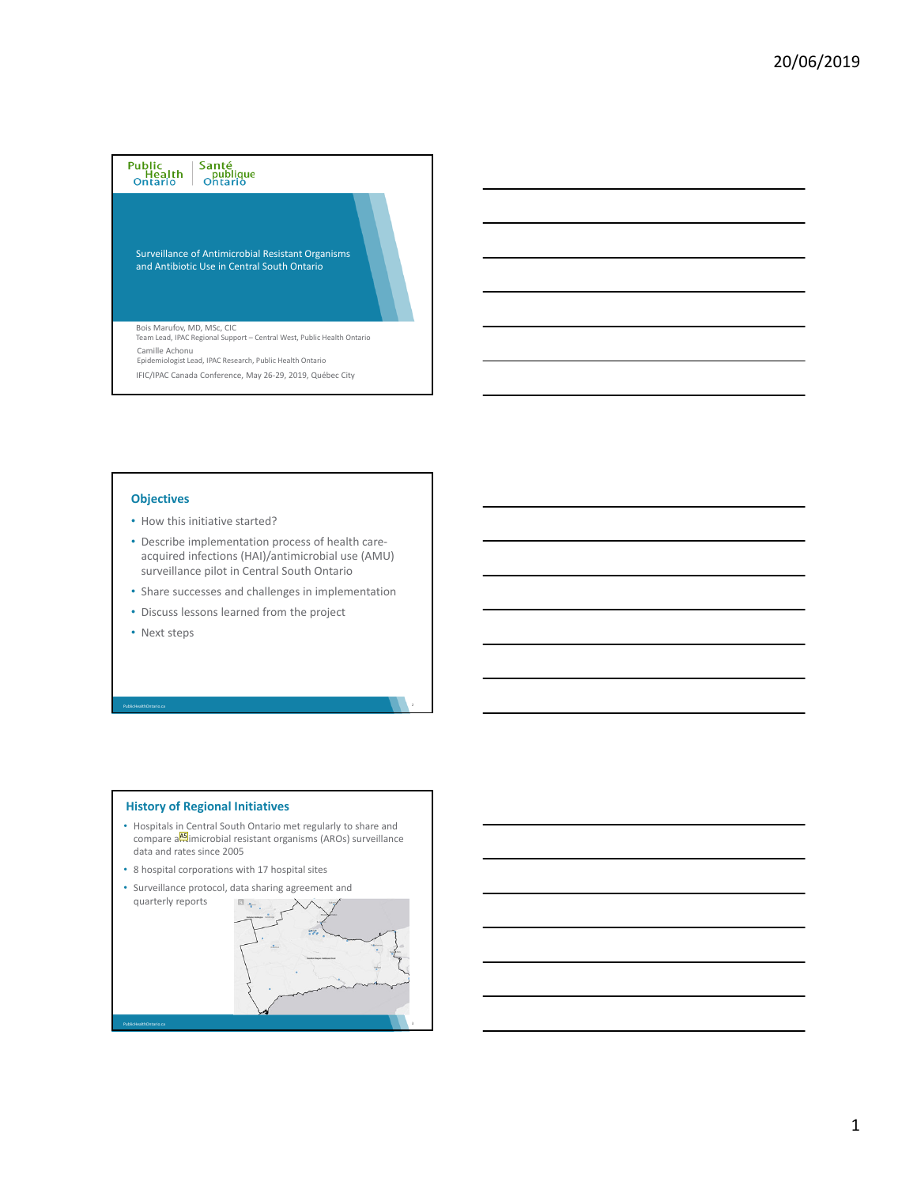# Public<br>Health<br>Ontario Santé<br>publique<br>Ontario

Surveillance of Antimicrobial Resistant Organisms and Antibiotic Use in Central South Ontario

Bois Marufov, MD, MSc, CIC Team Lead, IPAC Regional Support – Central West, Public Health Ontario IFIC/IPAC Canada Conference, May 26‐29, 2019, Québec City Camille Achonu Epidemiologist Lead, IPAC Research, Public Health Ontario

#### **Objectives**

- How this initiative started?
- Describe implementation process of health care‐ acquired infections (HAI)/antimicrobial use (AMU) surveillance pilot in Central South Ontario
- Share successes and challenges in implementation
- Discuss lessons learned from the project
- Next steps

PublicHealthOntario.ca

### • Hospitals in Central South Ontario met regularly to share and compare a**AF**imicrobial resistant organisms (AROs) surveillance data and rates since 2005 • 8 hospital corporations with 17 hospital sites • Surveillance protocol, data sharing agreement and quarterly reports  $\Box$

**History of Regional Initiatives**

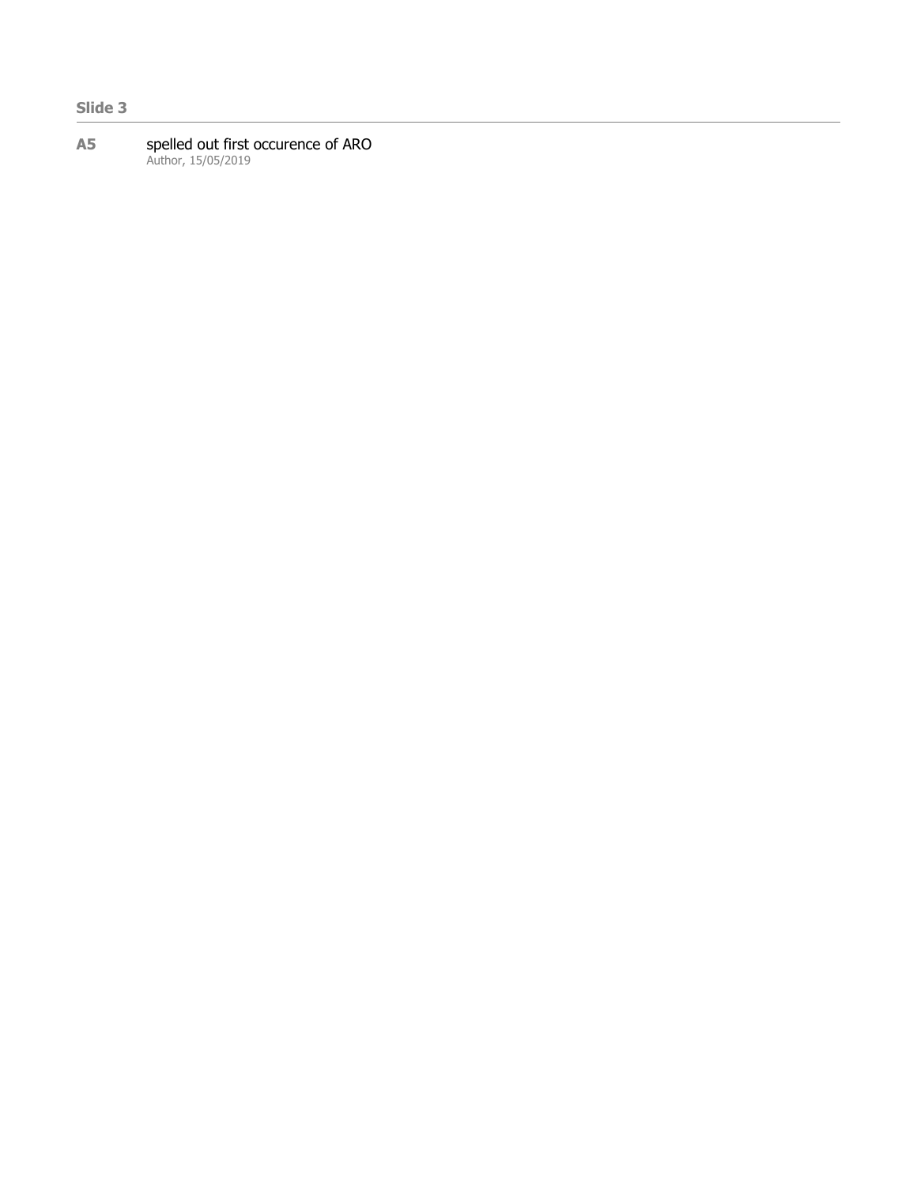# **Slide 3**

#### **A5** spelled out first occurence of ARO Author, 15/05/2019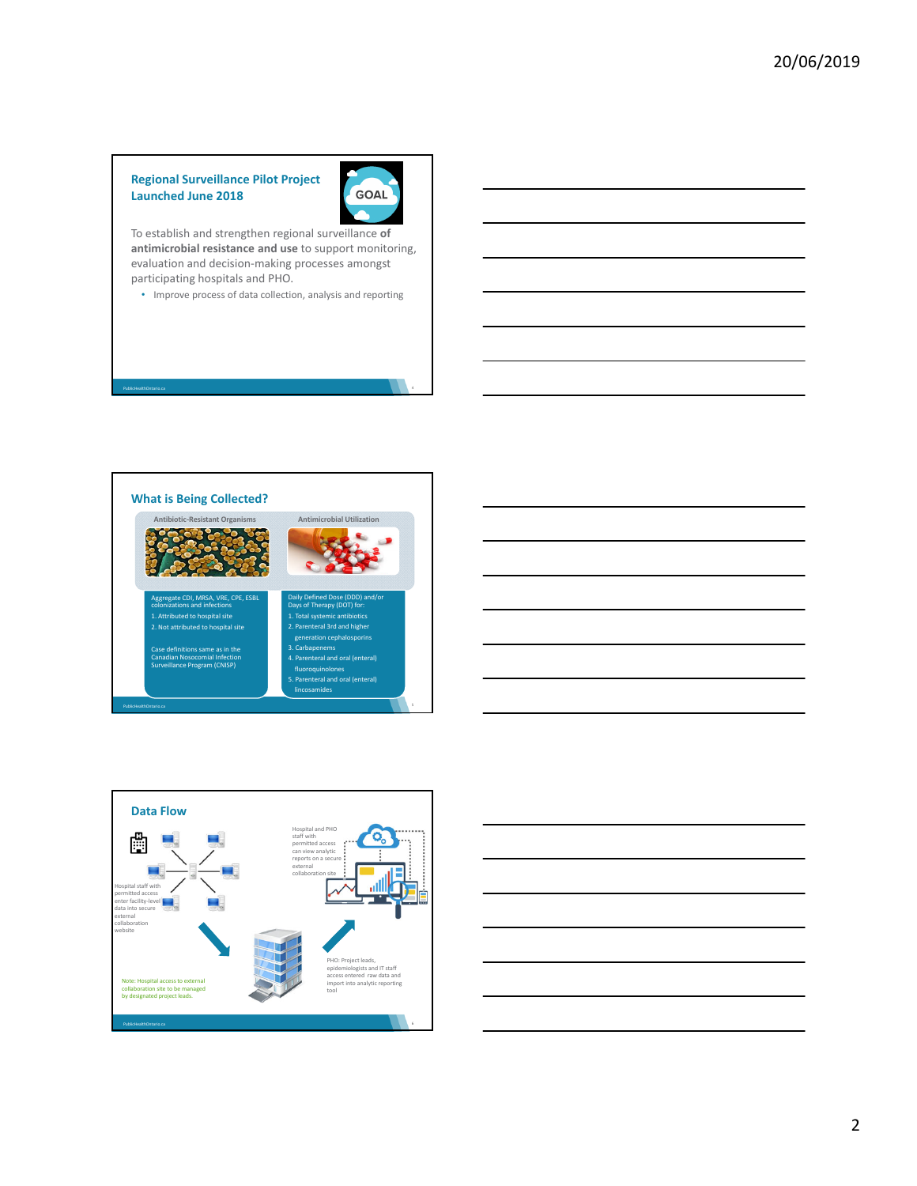## **Regional Surveillance Pilot Project Launched June 2018**

PublicHealthOntario.ca



To establish and strengthen regional surveillance **of antimicrobial resistance and use** to support monitoring, evaluation and decision‐making processes amongst participating hospitals and PHO.

• Improve process of data collection, analysis and reporting







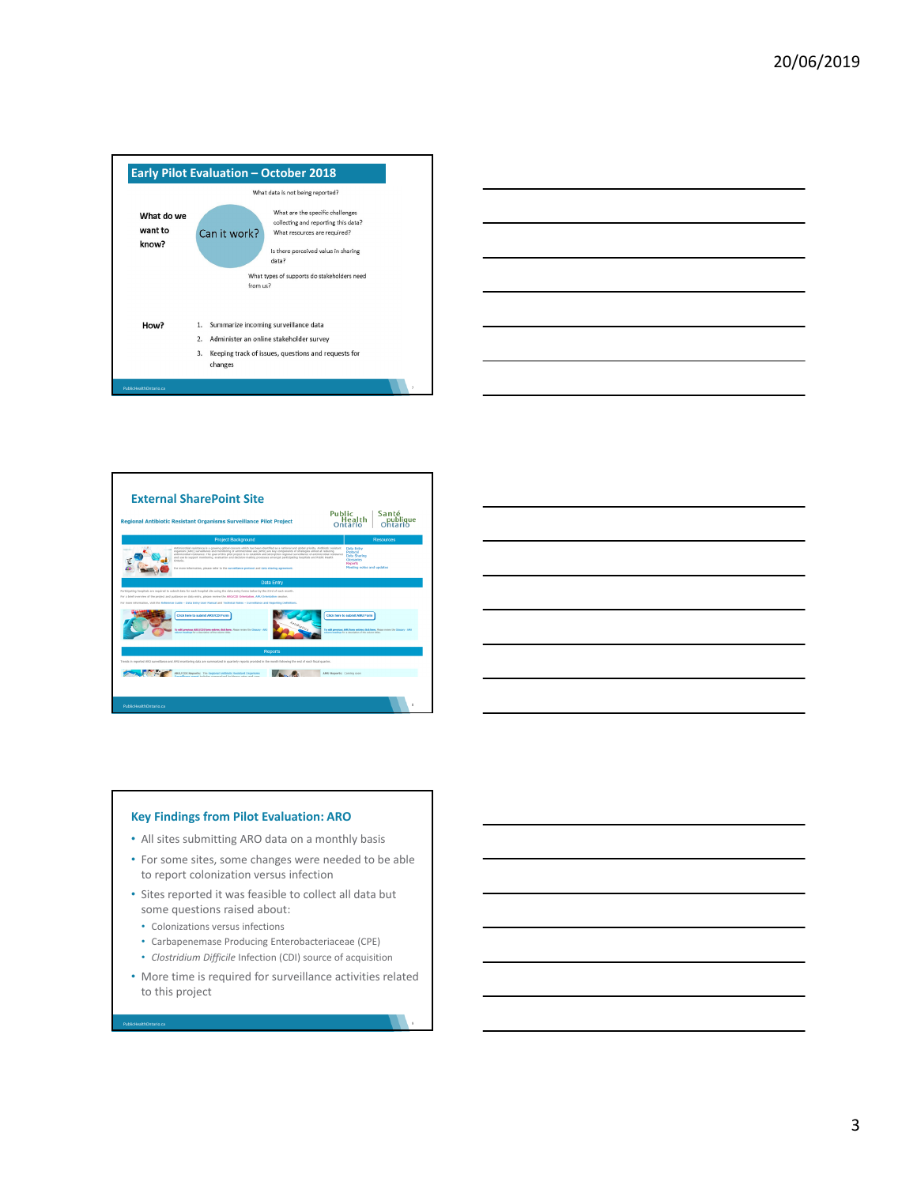







#### **Key Findings from Pilot Evaluation: ARO**

- All sites submitting ARO data on a monthly basis
- For some sites, some changes were needed to be able to report colonization versus infection
- Sites reported it was feasible to collect all data but some questions raised about:
	- Colonizations versus infections

PublicHealthOntario.ca

- Carbapenemase Producing Enterobacteriaceae (CPE)
- *Clostridium Difficile* Infection (CDI) source of acquisition
- More time is required for surveillance activities related to this project

3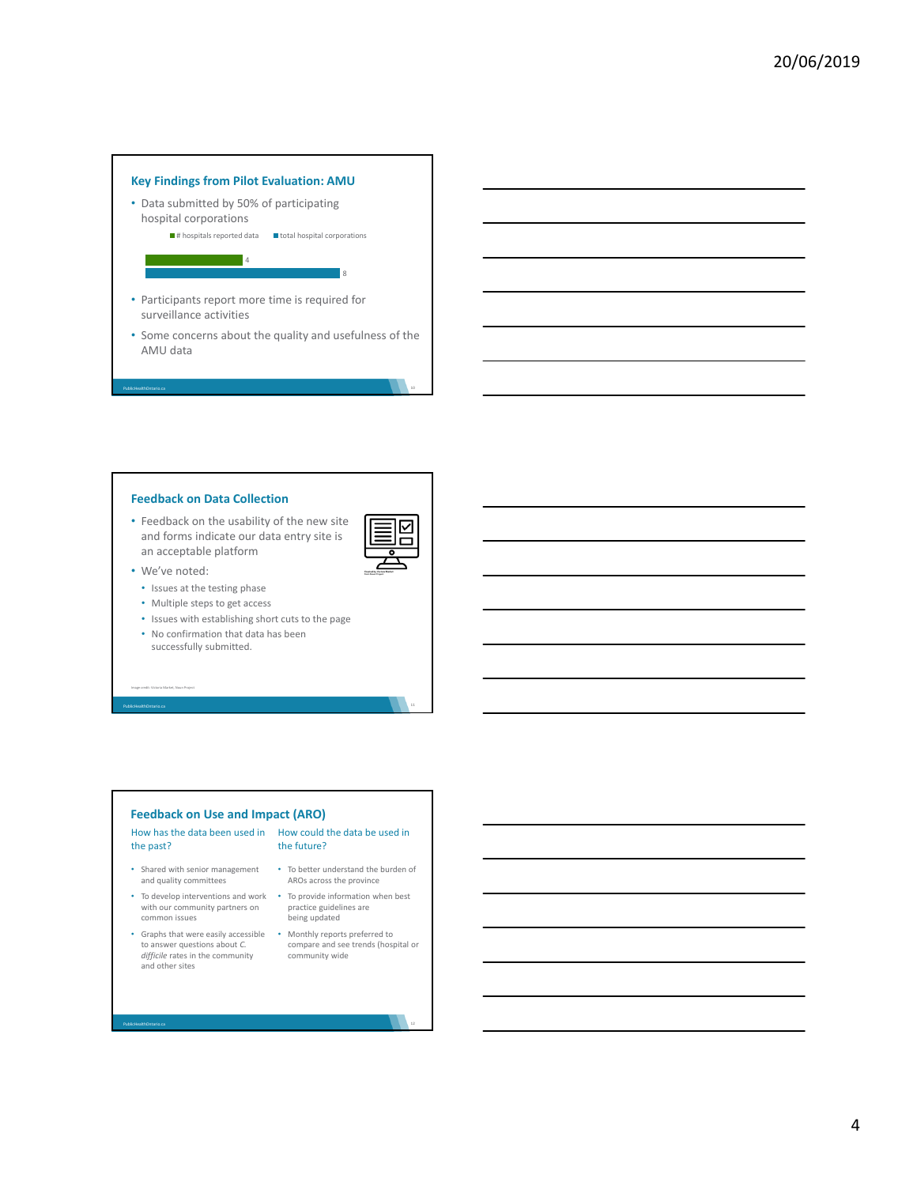

#### **Feedback on Data Collection**

- Feedback on the usability of the new site and forms indicate our data entry site is an acceptable platform
- 

• We've noted:

PublicHealthOntario.ca

- Issues at the testing phase
- Multiple steps to get access
- Issues with establishing short cuts to the page
- No confirmation that data has been successfully submitted.

Image credit: Victoria Market, Noun Project

PublicHealthOntario.ca

PublicHealthOntario.ca

#### **Feedback on Use and Impact (ARO)**

#### How has the data been used in How could the data be used in the past? the future?

- Shared with senior management and quality committees
- with our community partners on common issues
- Graphs that were easily accessible Monthly reports preferred to to answer questions about *C. difficile* rates in the community and other sites
- To better understand the burden of AROs across the province
- To develop interventions and work To provide information when best practice guidelines are being updated
	- compare and see trends (hospital or community wide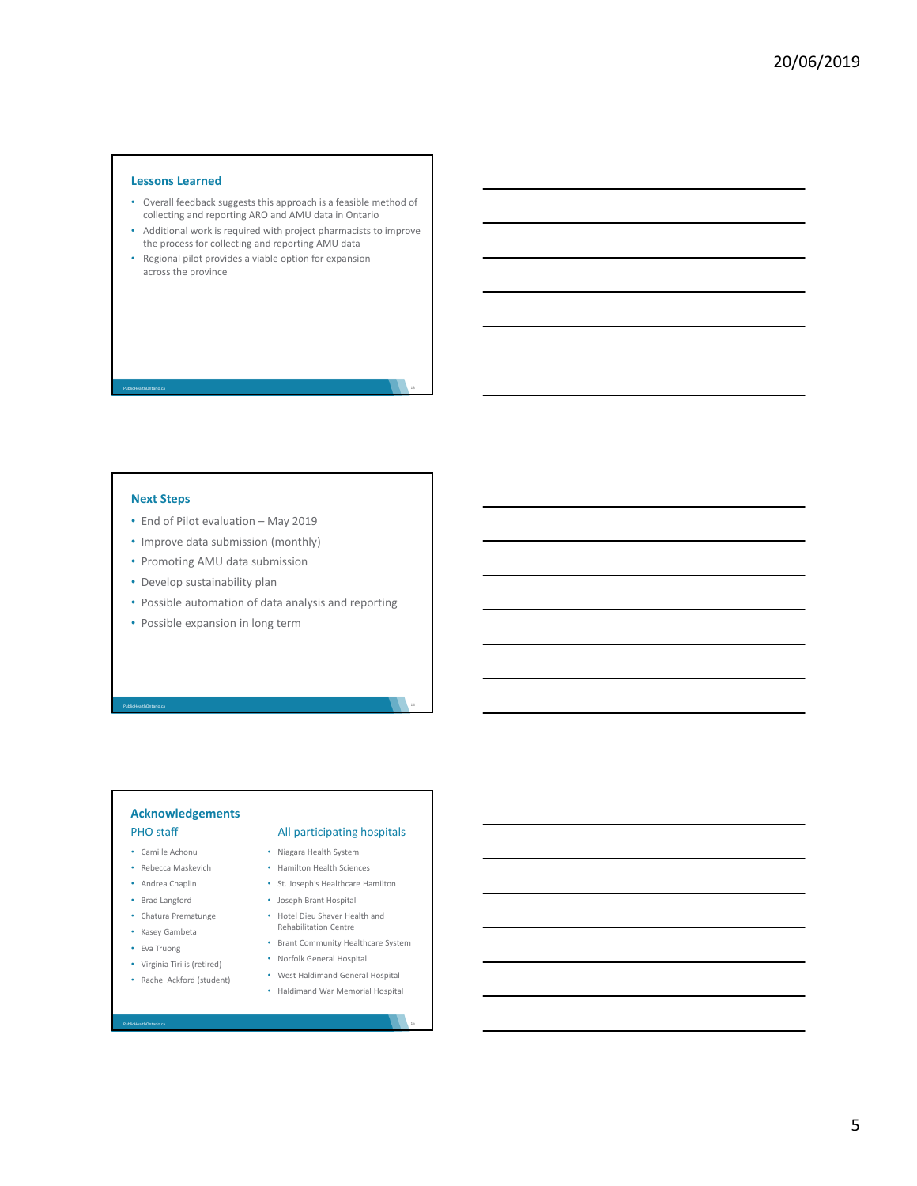#### **Lessons Learned**

- Overall feedback suggests this approach is a feasible method of collecting and reporting ARO and AMU data in Ontario
- Additional work is required with project pharmacists to improve the process for collecting and reporting AMU data
- Regional pilot provides a viable option for expansion across the province

### **Next Steps**

PublicHealthOntario.ca

- End of Pilot evaluation May 2019
- Improve data submission (monthly)
- Promoting AMU data submission
- Develop sustainability plan
- Possible automation of data analysis and reporting
- Possible expansion in long term

# **Acknowledgements**

• Camille Achonu

PublicHealthOntario.ca

- Rebecca Maskevich
- Andrea Chaplin
- Brad Langford
- Chatura Prematunge
- Kasey Gambeta
- Eva Truong

PublicHealthOntario.ca

- Virginia Tirilis (retired)
- Rachel Ackford (student)
	-

# PHO staff All participating hospitals

- Niagara Health System
- Hamilton Health Sciences
- St. Joseph's Healthcare Hamilton
- Joseph Brant Hospital
- Hotel Dieu Shaver Health and Rehabilitation Centre
- Brant Community Healthcare System
- Norfolk General Hospital • West Haldimand General Hospital
- Haldimand War Memorial Hospital
	-